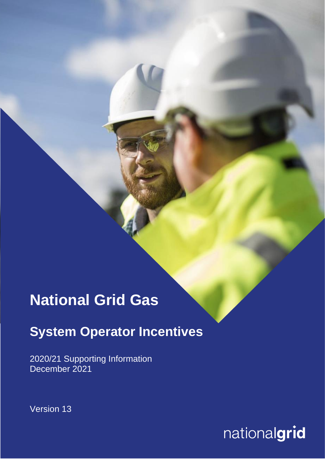# **National Grid Gas**

## **System Operator Incentives**

2020/21 Supporting Information December 2021

Version 13

 $national grid$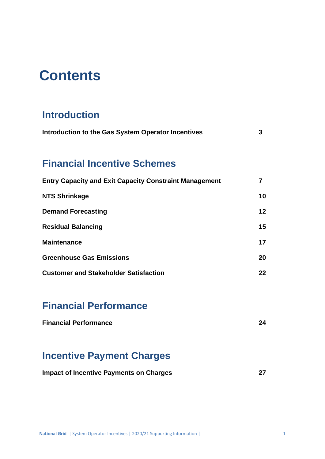## **Contents**

## **Introduction**

| Introduction to the Gas System Operator Incentives |  |
|----------------------------------------------------|--|
|----------------------------------------------------|--|

## **Financial Incentive Schemes**

| <b>Entry Capacity and Exit Capacity Constraint Management</b> |                 |
|---------------------------------------------------------------|-----------------|
| <b>NTS Shrinkage</b>                                          | 10              |
| <b>Demand Forecasting</b>                                     | 12 <sub>2</sub> |
| <b>Residual Balancing</b>                                     | 15              |
| <b>Maintenance</b>                                            | 17              |
| <b>Greenhouse Gas Emissions</b>                               | 20              |
| <b>Customer and Stakeholder Satisfaction</b>                  | 22              |

## **Financial Performance**

## **Incentive Payment Charges**

| <b>Impact of Incentive Payments on Charges</b> |  |
|------------------------------------------------|--|
|------------------------------------------------|--|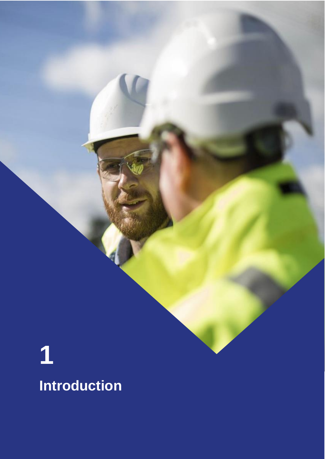# **1 Introduction**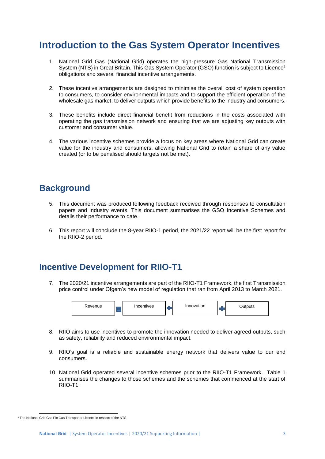## **Introduction to the Gas System Operator Incentives**

- 1. National Grid Gas (National Grid) operates the high-pressure Gas National Transmission System (NTS) in Great Britain. This Gas System Operator (GSO) function is subject to Licence<sup>1</sup> obligations and several financial incentive arrangements.
- 2. These incentive arrangements are designed to minimise the overall cost of system operation to consumers, to consider environmental impacts and to support the efficient operation of the wholesale gas market, to deliver outputs which provide benefits to the industry and consumers.
- 3. These benefits include direct financial benefit from reductions in the costs associated with operating the gas transmission network and ensuring that we are adjusting key outputs with customer and consumer value.
- 4. The various incentive schemes provide a focus on key areas where National Grid can create value for the industry and consumers, allowing National Grid to retain a share of any value created (or to be penalised should targets not be met).

### **Background**

- 5. This document was produced following feedback received through responses to consultation papers and industry events. This document summarises the GSO Incentive Schemes and details their performance to date.
- 6. This report will conclude the 8-year RIIO-1 period, the 2021/22 report will be the first report for the RIIO-2 period.

### **Incentive Development for RIIO-T1**

7. The 2020/21 incentive arrangements are part of the RIIO-T1 Framework, the first Transmission price control under Ofgem's new model of regulation that ran from April 2013 to March 2021.



- 8. RIIO aims to use incentives to promote the innovation needed to deliver agreed outputs, such as safety, reliability and reduced environmental impact.
- 9. RIIO's goal is a reliable and sustainable energy network that delivers value to our end consumers.
- 10. National Grid operated several incentive schemes prior to the RIIO-T1 Framework. Table 1 summarises the changes to those schemes and the schemes that commenced at the start of RIIO-T1.

<sup>&</sup>lt;sup>1</sup> The National Grid Gas Plc Gas Transporter Licence in respect of the NTS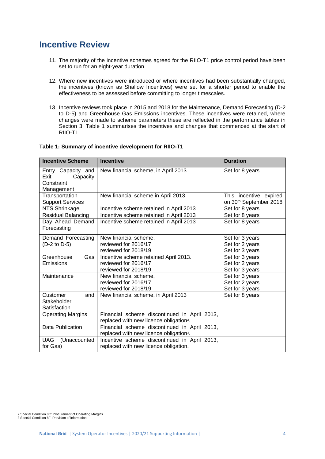## **Incentive Review**

- 11. The majority of the incentive schemes agreed for the RIIO-T1 price control period have been set to run for an eight-year duration.
- 12. Where new incentives were introduced or where incentives had been substantially changed, the incentives (known as Shallow Incentives) were set for a shorter period to enable the effectiveness to be assessed before committing to longer timescales.
- 13. Incentive reviews took place in 2015 and 2018 for the Maintenance, Demand Forecasting (D-2 to D-5) and Greenhouse Gas Emissions incentives. These incentives were retained, where changes were made to scheme parameters these are reflected in the performance tables in Section 3. Table 1 summarises the incentives and changes that commenced at the start of RIIO-T1.

#### **Table 1: Summary of incentive development for RIIO-T1**

| <b>Incentive Scheme</b>                                            | <b>Incentive</b>                                                                                    | <b>Duration</b>                                              |
|--------------------------------------------------------------------|-----------------------------------------------------------------------------------------------------|--------------------------------------------------------------|
| Entry Capacity and<br>Exit<br>Capacity<br>Constraint<br>Management | New financial scheme, in April 2013                                                                 | Set for 8 years                                              |
| Transportation<br><b>Support Services</b>                          | New financial scheme in April 2013                                                                  | This incentive expired<br>on 30 <sup>th</sup> September 2018 |
| NTS Shrinkage                                                      | Incentive scheme retained in April 2013                                                             | Set for 8 years                                              |
| <b>Residual Balancing</b>                                          | Incentive scheme retained in April 2013                                                             | Set for 8 years                                              |
| Day Ahead Demand<br>Forecasting                                    | Incentive scheme retained in April 2013                                                             | Set for 8 years                                              |
| Demand Forecasting                                                 | New financial scheme,                                                                               | Set for 3 years                                              |
| (D-2 to D-5)                                                       | reviewed for 2016/17                                                                                | Set for 2 years                                              |
|                                                                    | reviewed for 2018/19                                                                                | Set for 3 years                                              |
| Greenhouse<br>Gas                                                  | Incentive scheme retained April 2013.                                                               | Set for 3 years                                              |
| Emissions                                                          | reviewed for 2016/17                                                                                | Set for 2 years                                              |
|                                                                    | reviewed for 2018/19                                                                                | Set for 3 years                                              |
| Maintenance                                                        | New financial scheme,                                                                               | Set for 3 years                                              |
|                                                                    | reviewed for 2016/17                                                                                | Set for 2 years                                              |
|                                                                    | reviewed for 2018/19                                                                                | Set for 3 years                                              |
| Customer<br>and<br>Stakeholder<br>Satisfaction                     | New financial scheme, in April 2013                                                                 | Set for 8 years                                              |
| <b>Operating Margins</b>                                           | Financial scheme discontinued in April 2013,                                                        |                                                              |
|                                                                    | replaced with new licence obligation <sup>2</sup> .                                                 |                                                              |
| Data Publication                                                   | Financial scheme discontinued in April 2013,<br>replaced with new licence obligation <sup>3</sup> . |                                                              |
| <b>UAG</b><br>(Unaccounted                                         | Incentive scheme discontinued in April 2013,                                                        |                                                              |
| for Gas)                                                           | replaced with new licence obligation.                                                               |                                                              |

<sup>2</sup> Special Condition 8C: Procurement of Operating Margins 3 Special Condition 8F: Provision of information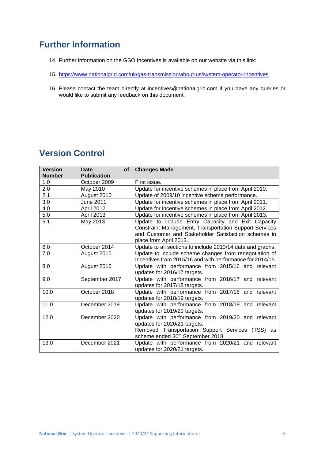## **Further Information**

- 14. Further information on the GSO Incentives is available on our website via this link:
- 15. <https://www.nationalgrid.com/uk/gas-transmission/about-us/system-operator-incentives>
- 16. Please contact the team directly at incentives@nationalgrid.com if you have any queries or would like to submit any feedback on this document.

## **Version Control**

| <b>Version</b><br><b>Number</b> | <b>Date</b><br>$of \sqrt{}$<br><b>Publication</b> | <b>Changes Made</b>                                                                                                                                                                                   |  |
|---------------------------------|---------------------------------------------------|-------------------------------------------------------------------------------------------------------------------------------------------------------------------------------------------------------|--|
| 1.0                             | October 2009                                      | First issue.                                                                                                                                                                                          |  |
| 2.0                             | May 2010                                          | Update for incentive schemes in place from April 2010.                                                                                                                                                |  |
| 2.1                             | August 2010                                       | Update of 2009/10 incentive scheme performance.                                                                                                                                                       |  |
| 3.0                             | June 2011                                         | Update for incentive schemes in place from April 2011.                                                                                                                                                |  |
| 4.0                             | April 2012                                        | Update for incentive schemes in place from April 2012.                                                                                                                                                |  |
| 5.0                             | <b>April 2013</b>                                 | Update for incentive schemes in place from April 2013.                                                                                                                                                |  |
| 5.1                             | May 2013                                          | Update to include Entry Capacity and Exit Capacity<br><b>Constraint Management, Transportation Support Services</b><br>and Customer and Stakeholder Satisfaction schemes in<br>place from April 2013. |  |
| 6.0                             | October 2014                                      | Update to all sections to include 2013/14 data and graphs.                                                                                                                                            |  |
| 7.0                             | August 2015                                       | Update to include scheme changes from renegotiation of<br>Incentives from 2015/16 and with performance for 2014/15.                                                                                   |  |
| 8.0                             | August 2016                                       | Update with performance from 2015/16 and relevant<br>updates for 2016/17 targets.                                                                                                                     |  |
| 9.0                             | September 2017                                    | Update with performance from 2016/17 and relevant<br>updates for 2017/18 targets.                                                                                                                     |  |
| 10.0                            | October 2018                                      | Update with performance from 2017/18 and relevant<br>updates for 2018/19 targets.                                                                                                                     |  |
| 11.0                            | December 2019                                     | Update with performance from 2018/19 and relevant<br>updates for 2019/20 targets.                                                                                                                     |  |
| 12.0                            | December 2020                                     | Update with performance from 2019/20 and relevant<br>updates for 2020/21 targets.<br>Removed Transportation Support Services (TSS) as<br>scheme ended 30 <sup>th</sup> September 2018.                |  |
| 13.0                            | December 2021                                     | Update with performance from 2020/21 and relevant<br>updates for 2020/21 targets.                                                                                                                     |  |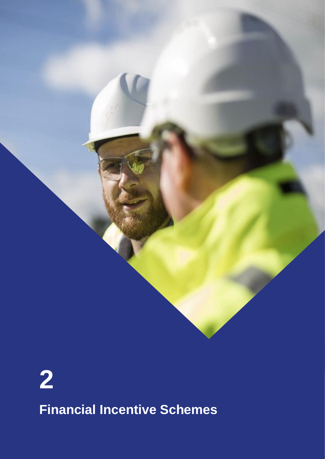

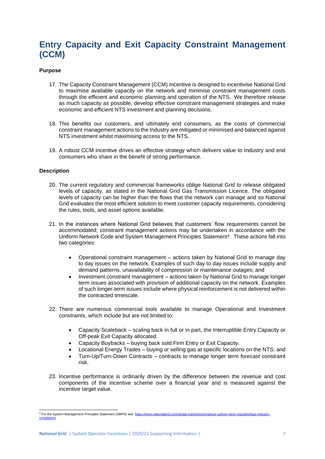## **Entry Capacity and Exit Capacity Constraint Management (CCM)**

#### **Purpose**

- 17. The Capacity Constraint Management (CCM) Incentive is designed to incentivise National Grid to maximise available capacity on the network and minimise constraint management costs through the efficient and economic planning and operation of the NTS. We therefore release as much capacity as possible, develop effective constraint management strategies and make economic and efficient NTS investment and planning decisions.
- 18. This benefits our customers, and ultimately end consumers, as the costs of commercial constraint management actions to the Industry are mitigated or minimised and balanced against NTS investment whilst maximising access to the NTS.
- 19. A robust CCM incentive drives an effective strategy which delivers value to Industry and end consumers who share in the benefit of strong performance.

#### **Description**

- 20. The current regulatory and commercial frameworks oblige National Grid to release obligated levels of capacity, as stated in the National Grid Gas Transmission Licence. The obligated levels of capacity can be higher than the flows that the network can manage and so National Grid evaluates the most efficient solution to meet customer capacity requirements, considering the rules, tools, and asset options available.
- 21. In the instances where National Grid believes that customers' flow requirements cannot be accommodated; constraint management actions may be undertaken in accordance with the Uniform Network Code and System Management Principles Statement<sup>4</sup>. These actions fall into two categories:
	- Operational constraint management actions taken by National Grid to manage day to day issues on the network. Examples of such day to day issues include supply and demand patterns, unavailability of compression or maintenance outages; and
	- Investment constraint management actions taken by National Grid to manage longer term issues associated with provision of additional capacity on the network. Examples of such longer-term issues include where physical reinforcement is not delivered within the contracted timescale.
- 22. There are numerous commercial tools available to manage Operational and Investment constraints, which include but are not limited to:
	- Capacity Scaleback scaling back in full or in part, the Interruptible Entry Capacity or Off-peak Exit Capacity allocated.
	- Capacity Buybacks buying back sold Firm Entry or Exit Capacity.
	- Locational Energy Trades buying or selling gas at specific locations on the NTS; and
	- Turn-Up/Turn-Down Contracts contracts to manage longer term forecast constraint risk.
- 23. Incentive performance is ordinarily driven by the difference between the revenue and cost components of the incentive scheme over a financial year and is measured against the incentive target value.

<sup>4</sup> For the System Management Principles Statement (SMPS) see: https://www.nationalgrid.com/uk/gas-transmission/about-us/how-were-regulated/gas-industrycompliance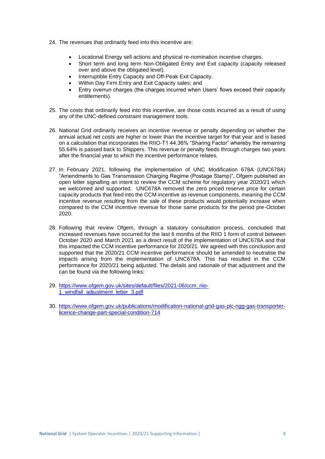- 24. The revenues that ordinarily feed into this incentive are:
	- Locational Energy sell actions and physical re-nomination incentive charges.
	- Short term and long term Non-Obligated Entry and Exit capacity (capacity released over and above the obligated level).
	- Interruptible Entry Capacity and Off-Peak Exit Capacity.
	- Within Day Firm Entry and Exit Capacity sales; and
	- Entry overrun charges (the charges incurred when Users' flows exceed their capacity entitlements).
- 25. The costs that ordinarily feed into this incentive, are those costs incurred as a result of using any of the UNC-defined constraint management tools.
- 26. National Grid ordinarily receives an incentive revenue or penalty depending on whether the annual actual net costs are higher or lower than the incentive target for that year and is based on a calculation that incorporates the RIIO-T1 44.36% "Sharing Factor" whereby the remaining 55.64% is passed back to Shippers. This revenue or penalty feeds through charges two years after the financial year to which the incentive performance relates.
- 27. In February 2021, following the implementation of UNC Modification 678A (UNC678A) "Amendments to Gas Transmission Charging Regime (Postage Stamp)", Ofgem published an open letter signalling an intent to review the CCM scheme for regulatory year 2020/21 which we welcomed and supported. UNC678A removed the zero priced reserve price for certain capacity products that feed into the CCM incentive as revenue components, meaning the CCM incentive revenue resulting from the sale of these products would potentially increase when compared to the CCM incentive revenue for those same products for the period pre-October 2020.
- 28. Following that review Ofgem, through a statutory consultation process, concluded that increased revenues have occurred for the last 6 months of the RIIO 1 form of control between October 2020 and March 2021 as a direct result of the implementation of UNC678A and that this impacted the CCM incentive performance for 2020/21. We agreed with this conclusion and supported that the 2020/21 CCM incentive performance should be amended to neutralise the impacts arising from the implementation of UNC678A. This has resulted in the CCM performance for 2020/21 being adjusted. The details and rationale of that adjustment and the can be found via the following links:
- 29. [https://www.ofgem.gov.uk/sites/default/files/2021-06/ccm\\_riio-](https://www.ofgem.gov.uk/sites/default/files/2021-06/ccm_riio-1_windfall_adjustment_letter_3.pdf)1 windfall adjustment letter 3.pdf
- 30. [https://www.ofgem.gov.uk/publications/modification-national-grid-gas-plc-ngg-gas-transporter](https://www.ofgem.gov.uk/publications/modification-national-grid-gas-plc-ngg-gas-transporter-licence-change-part-special-condition-714)[licence-change-part-special-condition-714](https://www.ofgem.gov.uk/publications/modification-national-grid-gas-plc-ngg-gas-transporter-licence-change-part-special-condition-714)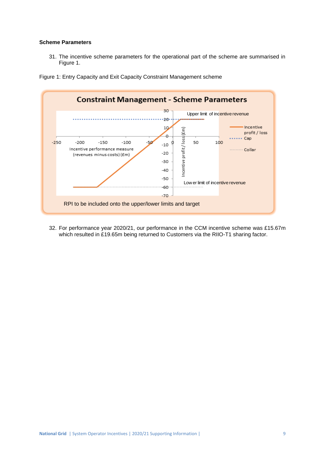#### **Scheme Parameters**

31. The incentive scheme parameters for the operational part of the scheme are summarised in Figure 1.



Figure 1: Entry Capacity and Exit Capacity Constraint Management scheme

32. For performance year 2020/21, our performance in the CCM incentive scheme was £15.67m which resulted in £19.65m being returned to Customers via the RIIO-T1 sharing factor.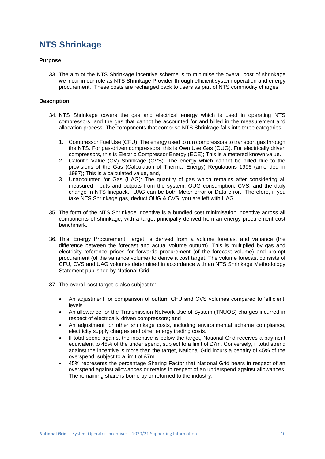## **NTS Shrinkage**

#### **Purpose**

33. The aim of the NTS Shrinkage incentive scheme is to minimise the overall cost of shrinkage we incur in our role as NTS Shrinkage Provider through efficient system operation and energy procurement. These costs are recharged back to users as part of NTS commodity charges.

#### **Description**

- 34. NTS Shrinkage covers the gas and electrical energy which is used in operating NTS compressors, and the gas that cannot be accounted for and billed in the measurement and allocation process. The components that comprise NTS Shrinkage falls into three categories:
	- 1. Compressor Fuel Use (CFU): The energy used to run compressors to transport gas through the NTS. For gas-driven compressors, this is Own Use Gas (OUG). For electrically driven compressors, this is Electric Compressor Energy (ECE); This is a metered known value.
	- 2. Calorific Value (CV) Shrinkage (CVS): The energy which cannot be billed due to the provisions of the Gas (Calculation of Thermal Energy) Regulations 1996 (amended in 1997); This is a calculated value, and,
	- 3. Unaccounted for Gas (UAG): The quantity of gas which remains after considering all measured inputs and outputs from the system, OUG consumption, CVS, and the daily change in NTS linepack. UAG can be both Meter error or Data error. Therefore, if you take NTS Shrinkage gas, deduct OUG & CVS, you are left with UAG
- 35. The form of the NTS Shrinkage incentive is a bundled cost minimisation incentive across all components of shrinkage, with a target principally derived from an energy procurement cost benchmark.
- 36. This 'Energy Procurement Target' is derived from a volume forecast and variance (the difference between the forecast and actual volume outturn). This is multiplied by gas and electricity reference prices for forwards procurement (of the forecast volume) and prompt procurement (of the variance volume) to derive a cost target. The volume forecast consists of CFU, CVS and UAG volumes determined in accordance with an NTS Shrinkage Methodology Statement published by National Grid.
- 37. The overall cost target is also subject to:
	- An adjustment for comparison of outturn CFU and CVS volumes compared to 'efficient' levels.
	- An allowance for the Transmission Network Use of System (TNUOS) charges incurred in respect of electrically driven compressors; and
	- An adjustment for other shrinkage costs, including environmental scheme compliance, electricity supply charges and other energy trading costs.
	- If total spend against the incentive is below the target, National Grid receives a payment equivalent to 45% of the under spend, subject to a limit of £7m. Conversely, if total spend against the incentive is more than the target, National Grid incurs a penalty of 45% of the overspend, subject to a limit of £7m.
	- 45% represents the percentage Sharing Factor that National Grid bears in respect of an overspend against allowances or retains in respect of an underspend against allowances. The remaining share is borne by or returned to the industry.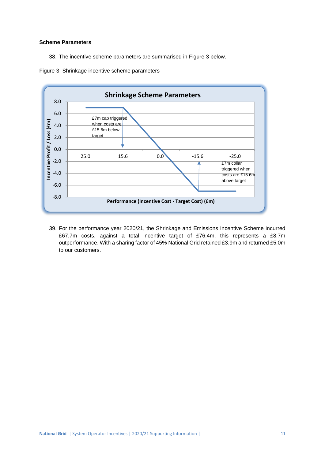#### **Scheme Parameters**

38. The incentive scheme parameters are summarised in Figure 3 below.



Figure 3: Shrinkage incentive scheme parameters

39. For the performance year 2020/21, the Shrinkage and Emissions Incentive Scheme incurred £67.7m costs, against a total incentive target of £76.4m, this represents a £8.7m outperformance. With a sharing factor of 45% National Grid retained £3.9m and returned £5.0m to our customers.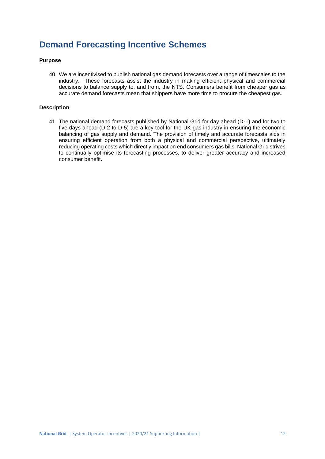## **Demand Forecasting Incentive Schemes**

#### **Purpose**

40. We are incentivised to publish national gas demand forecasts over a range of timescales to the industry. These forecasts assist the industry in making efficient physical and commercial decisions to balance supply to, and from, the NTS. Consumers benefit from cheaper gas as accurate demand forecasts mean that shippers have more time to procure the cheapest gas.

#### **Description**

41. The national demand forecasts published by National Grid for day ahead (D-1) and for two to five days ahead (D-2 to D-5) are a key tool for the UK gas industry in ensuring the economic balancing of gas supply and demand. The provision of timely and accurate forecasts aids in ensuring efficient operation from both a physical and commercial perspective, ultimately reducing operating costs which directly impact on end consumers gas bills. National Grid strives to continually optimise its forecasting processes, to deliver greater accuracy and increased consumer benefit.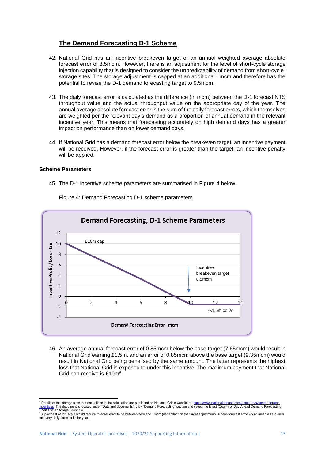#### **The Demand Forecasting D-1 Scheme**

- 42. National Grid has an incentive breakeven target of an annual weighted average absolute forecast error of 8.5mcm. However, there is an adjustment for the level of short-cycle storage injection capability that is designed to consider the unpredictability of demand from short-cycle<sup>5</sup> storage sites. The storage adjustment is capped at an additional 1mcm and therefore has the potential to revise the D-1 demand forecasting target to 9.5mcm.
- 43. The daily forecast error is calculated as the difference (in mcm) between the D-1 forecast NTS throughput value and the actual throughput value on the appropriate day of the year. The annual average absolute forecast error is the sum of the daily forecast errors, which themselves are weighted per the relevant day's demand as a proportion of annual demand in the relevant incentive year. This means that forecasting accurately on high demand days has a greater impact on performance than on lower demand days.
- 44. If National Grid has a demand forecast error below the breakeven target, an incentive payment will be received. However, if the forecast error is greater than the target, an incentive penalty will be applied.

#### **Scheme Parameters**

45. The D-1 incentive scheme parameters are summarised in Figure 4 below.



Figure 4: Demand Forecasting D-1 scheme parameters

46. An average annual forecast error of 0.85mcm below the base target (7.65mcm) would result in National Grid earning £1.5m, and an error of 0.85mcm above the base target (9.35mcm) would result in National Grid being penalised by the same amount. The latter represents the highest loss that National Grid is exposed to under this incentive. The maximum payment that National Grid can receive is £10m<sup>6</sup>.

<sup>&</sup>lt;sup>5</sup> Details of the storage sites that are utilised in the calculation are published on National Grid's website at: <u>https://www.nationalgridgas.com/about-us/system-operator-</u><br><u>incentives</u> The document is located under "Dat

 $^6$  A payment of this scale would require forecast error to be between zero and 1mcm (dependant on the target adjustment). A zero-forecast error would mean a zero error<br>on every daily forecast in the year.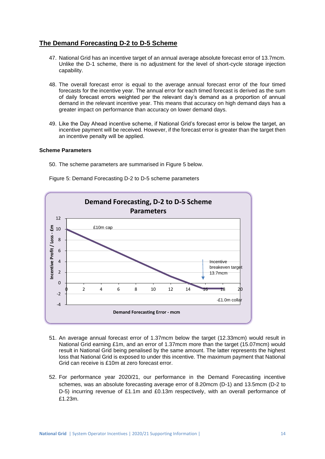#### **The Demand Forecasting D-2 to D-5 Scheme**

- 47. National Grid has an incentive target of an annual average absolute forecast error of 13.7mcm. Unlike the D-1 scheme, there is no adjustment for the level of short-cycle storage injection capability.
- 48. The overall forecast error is equal to the average annual forecast error of the four timed forecasts for the incentive year. The annual error for each timed forecast is derived as the sum of daily forecast errors weighted per the relevant day's demand as a proportion of annual demand in the relevant incentive year. This means that accuracy on high demand days has a greater impact on performance than accuracy on lower demand days.
- 49. Like the Day Ahead incentive scheme, if National Grid's forecast error is below the target, an incentive payment will be received. However, if the forecast error is greater than the target then an incentive penalty will be applied.

#### **Scheme Parameters**

50. The scheme parameters are summarised in Figure 5 below.

Figure 5: Demand Forecasting D-2 to D-5 scheme parameters



- 51. An average annual forecast error of 1.37mcm below the target (12.33mcm) would result in National Grid earning £1m, and an error of 1.37mcm more than the target (15.07mcm) would result in National Grid being penalised by the same amount. The latter represents the highest loss that National Grid is exposed to under this incentive. The maximum payment that National Grid can receive is £10m at zero forecast error.
- 52. For performance year 2020/21, our performance in the Demand Forecasting incentive schemes, was an absolute forecasting average error of 8.20mcm (D-1) and 13.5mcm (D-2 to D-5) incurring revenue of £1.1m and £0.13m respectively, with an overall performance of £1.23m.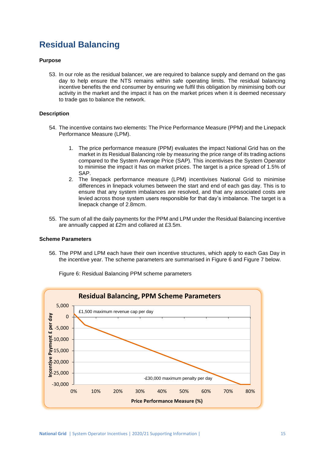## **Residual Balancing**

#### **Purpose**

53. In our role as the residual balancer, we are required to balance supply and demand on the gas day to help ensure the NTS remains within safe operating limits. The residual balancing incentive benefits the end consumer by ensuring we fulfil this obligation by minimising both our activity in the market and the impact it has on the market prices when it is deemed necessary to trade gas to balance the network.

#### **Description**

- 54. The incentive contains two elements: The Price Performance Measure (PPM) and the Linepack Performance Measure (LPM).
	- 1. The price performance measure (PPM) evaluates the impact National Grid has on the market in its Residual Balancing role by measuring the price range of its trading actions compared to the System Average Price (SAP). This incentivises the System Operator to minimise the impact it has on market prices. The target is a price spread of 1.5% of SAP.
	- 2. The linepack performance measure (LPM) incentivises National Grid to minimise differences in linepack volumes between the start and end of each gas day. This is to ensure that any system imbalances are resolved, and that any associated costs are levied across those system users responsible for that day's imbalance. The target is a linepack change of 2.8mcm.
- 55. The sum of all the daily payments for the PPM and LPM under the Residual Balancing incentive are annually capped at £2m and collared at £3.5m.

#### **Scheme Parameters**

56. The PPM and LPM each have their own incentive structures, which apply to each Gas Day in the incentive year. The scheme parameters are summarised in Figure 6 and Figure 7 below.



Figure 6: Residual Balancing PPM scheme parameters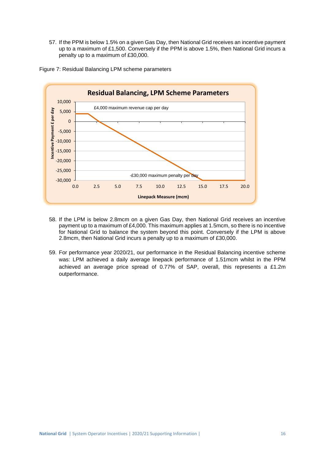57. If the PPM is below 1.5% on a given Gas Day, then National Grid receives an incentive payment up to a maximum of £1,500. Conversely if the PPM is above 1.5%, then National Grid incurs a penalty up to a maximum of £30,000.





- 58. If the LPM is below 2.8mcm on a given Gas Day, then National Grid receives an incentive payment up to a maximum of £4,000. This maximum applies at 1.5mcm, so there is no incentive for National Grid to balance the system beyond this point. Conversely if the LPM is above 2.8mcm, then National Grid incurs a penalty up to a maximum of £30,000.
- 59. For performance year 2020/21, our performance in the Residual Balancing incentive scheme was: LPM achieved a daily average linepack performance of 1.51mcm whilst in the PPM achieved an average price spread of 0.77% of SAP, overall, this represents a £1.2m outperformance.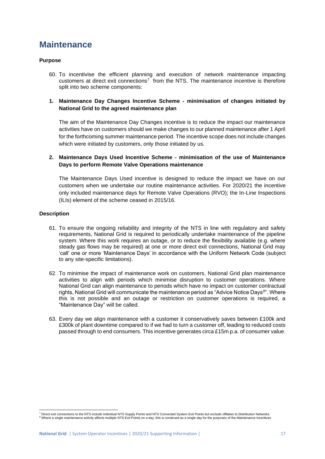## **Maintenance**

#### **Purpose**

60. To incentivise the efficient planning and execution of network maintenance impacting customers at direct exit connections<sup>7</sup> from the NTS. The maintenance incentive is therefore split into two scheme components:

#### **1. Maintenance Day Changes Incentive Scheme - minimisation of changes initiated by National Grid to the agreed maintenance plan**

The aim of the Maintenance Day Changes incentive is to reduce the impact our maintenance activities have on customers should we make changes to our planned maintenance after 1 April for the forthcoming summer maintenance period. The incentive scope does not include changes which were initiated by customers, only those initiated by us.

#### **2. Maintenance Days Used Incentive Scheme - minimisation of the use of Maintenance Days to perform Remote Valve Operations maintenance**

The Maintenance Days Used incentive is designed to reduce the impact we have on our customers when we undertake our routine maintenance activities. For 2020/21 the incentive only included maintenance days for Remote Valve Operations (RVO); the In-Line Inspections (ILIs) element of the scheme ceased in 2015/16.

#### **Description**

- 61. To ensure the ongoing reliability and integrity of the NTS in line with regulatory and safety requirements, National Grid is required to periodically undertake maintenance of the pipeline system. Where this work requires an outage, or to reduce the flexibility available (e.g. where steady gas flows may be required) at one or more direct exit connections, National Grid may 'call' one or more 'Maintenance Days' in accordance with the Uniform Network Code (subject to any site-specific limitations).
- 62. To minimise the impact of maintenance work on customers, National Grid plan maintenance activities to align with periods which minimise disruption to customer operations. Where National Grid can align maintenance to periods which have no impact on customer contractual rights, National Grid will communicate the maintenance period as "Advice Notice Days<sup>8</sup> ". Where this is not possible and an outage or restriction on customer operations is required, a "Maintenance Day" will be called.
- 63. Every day we align maintenance with a customer it conservatively saves between £100k and £300k of plant downtime compared to if we had to turn a customer off, leading to reduced costs passed through to end consumers. This incentive generates circa £15m p.a. of consumer value.

<sup>&</sup>lt;sup>7</sup> Direct exit connections to the NTS include individual NTS Supply Points and NTS Connected System Exit Points but exclude offtakes to Distribution Networks.<br><sup>8</sup> Where a single maintenance activity affects multiple NTS E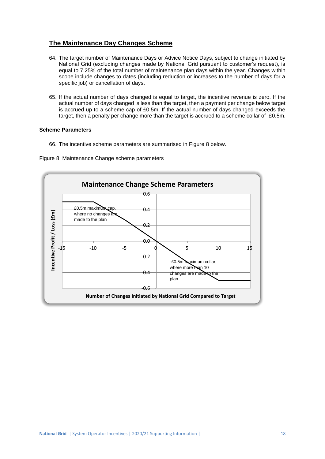#### **The Maintenance Day Changes Scheme**

- 64. The target number of Maintenance Days or Advice Notice Days, subject to change initiated by National Grid (excluding changes made by National Grid pursuant to customer's request), is equal to 7.25% of the total number of maintenance plan days within the year. Changes within scope include changes to dates (including reduction or increases to the number of days for a specific job) or cancellation of days.
- 65. If the actual number of days changed is equal to target, the incentive revenue is zero. If the actual number of days changed is less than the target, then a payment per change below target is accrued up to a scheme cap of £0.5m. If the actual number of days changed exceeds the target, then a penalty per change more than the target is accrued to a scheme collar of -£0.5m.

#### **Scheme Parameters**

66. The incentive scheme parameters are summarised in Figure 8 below.



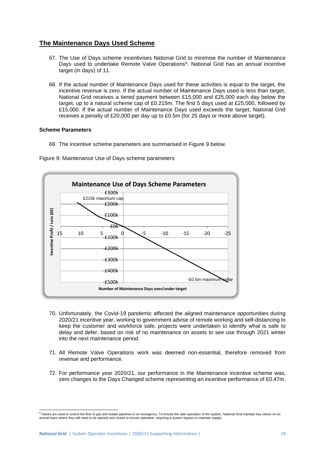#### **The Maintenance Days Used Scheme**

- 67. The Use of Days scheme incentivises National Grid to minimise the number of Maintenance Days used to undertake Remote Valve Operations<sup>9</sup>. National Grid has an annual incentive target (in days) of 11.
- 68. If the actual number of Maintenance Days used for these activities is equal to the target, the incentive revenue is zero. If the actual number of Maintenance Days used is less than target, National Grid receives a tiered payment between £15,000 and £25,000 each day below the target, up to a natural scheme cap of £0.215m. The first 5 days used at £25,000, followed by £15,000. If the actual number of Maintenance Days used exceeds the target, National Grid receives a penalty of £20,000 per day up to £0.5m (for 25 days or more above target).

#### **Scheme Parameters**

69. The incentive scheme parameters are summarised in Figure 9 below.





- 70. Unfortunately, the Covid-19 pandemic affected the aligned maintenance opportunities during 2020/21 incentive year, working to government advise of remote working and self-distancing to keep the customer and workforce safe, projects were undertaken to identify what is safe to delay and defer, based on risk of no maintenance on assets to see use through 2021 winter into the next maintenance period.
- 71. All Remote Valve Operations work was deemed non-essential, therefore removed from revenue and performance.
- 72. For performance year 2020/21, our performance in the Maintenance incentive scheme was, zero changes to the Days Changed scheme representing an incentive performance of £0.47m.

<sup>&</sup>lt;sup>9</sup> Valves are used to control the flow of gas and isolate pipelines in an emergency. To ensure the safe operation of the system, National Grid maintain key valves on an<br>annual basis where they will need to be opened and c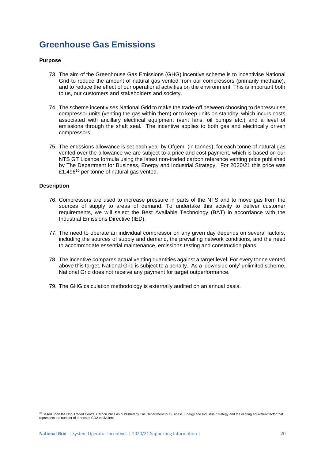## **Greenhouse Gas Emissions**

#### **Purpose**

- 73. The aim of the Greenhouse Gas Emissions (GHG) incentive scheme is to incentivise National Grid to reduce the amount of natural gas vented from our compressors (primarily methane), and to reduce the effect of our operational activities on the environment. This is important both to us, our customers and stakeholders and society.
- 74. The scheme incentivises National Grid to make the trade-off between choosing to depressurise compressor units (venting the gas within them) or to keep units on standby, which incurs costs associated with ancillary electrical equipment (vent fans, oil pumps etc.) and a level of emissions through the shaft seal. The incentive applies to both gas and electrically driven compressors.
- 75. The emissions allowance is set each year by Ofgem, (in tonnes), for each tonne of natural gas vented over the allowance we are subject to a price and cost payment, which is based on our NTS GT Licence formula using the latest non-traded carbon reference venting price published by The Department for Business, Energy and Industrial Strategy. For 2020/21 this price was £1,496<sup>10</sup> per tonne of natural gas vented.

#### **Description**

- 76. Compressors are used to increase pressure in parts of the NTS and to move gas from the sources of supply to areas of demand. To undertake this activity to deliver customer requirements, we will select the Best Available Technology (BAT) in accordance with the Industrial Emissions Directive (IED).
- 77. The need to operate an individual compressor on any given day depends on several factors, including the sources of supply and demand, the prevailing network conditions, and the need to accommodate essential maintenance, emissions testing and construction plans.
- 78. The incentive compares actual venting quantities against a target level. For every tonne vented above this target, National Grid is subject to a penalty. As a 'downside only' unlimited scheme, National Grid does not receive any payment for target outperformance.
- 79. The GHG calculation methodology is externally audited on an annual basis.

<sup>&</sup>lt;sup>10</sup> Based upon the Non-Traded Central Carbon Price as published by The Department for Business, Energy and Industrial Strategy and the venting equivalent factor that represents the number of tonnes of CO2 equivalent.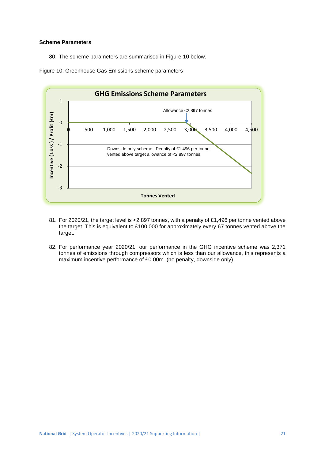#### **Scheme Parameters**

80. The scheme parameters are summarised in Figure 10 below.





- 81. For 2020/21, the target level is <2,897 tonnes, with a penalty of £1,496 per tonne vented above the target. This is equivalent to £100,000 for approximately every 67 tonnes vented above the target.
- 82. For performance year 2020/21, our performance in the GHG incentive scheme was 2,371 tonnes of emissions through compressors which is less than our allowance, this represents a maximum incentive performance of £0.00m. (no penalty, downside only).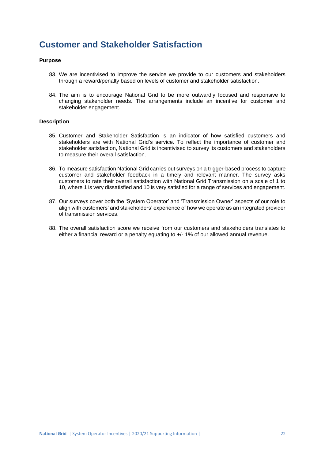## **Customer and Stakeholder Satisfaction**

#### **Purpose**

- 83. We are incentivised to improve the service we provide to our customers and stakeholders through a reward/penalty based on levels of customer and stakeholder satisfaction.
- 84. The aim is to encourage National Grid to be more outwardly focused and responsive to changing stakeholder needs. The arrangements include an incentive for customer and stakeholder engagement.

#### **Description**

- 85. Customer and Stakeholder Satisfaction is an indicator of how satisfied customers and stakeholders are with National Grid's service. To reflect the importance of customer and stakeholder satisfaction, National Grid is incentivised to survey its customers and stakeholders to measure their overall satisfaction.
- 86. To measure satisfaction National Grid carries out surveys on a trigger-based process to capture customer and stakeholder feedback in a timely and relevant manner. The survey asks customers to rate their overall satisfaction with National Grid Transmission on a scale of 1 to 10, where 1 is very dissatisfied and 10 is very satisfied for a range of services and engagement.
- 87. Our surveys cover both the 'System Operator' and 'Transmission Owner' aspects of our role to align with customers' and stakeholders' experience of how we operate as an integrated provider of transmission services.
- 88. The overall satisfaction score we receive from our customers and stakeholders translates to either a financial reward or a penalty equating to +/- 1% of our allowed annual revenue.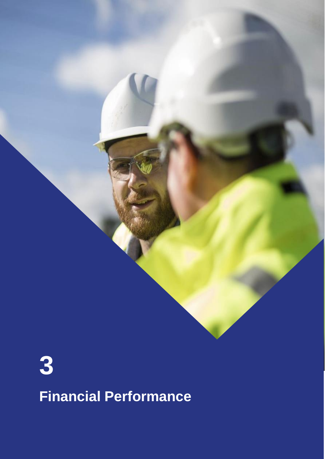



**Financial Performance**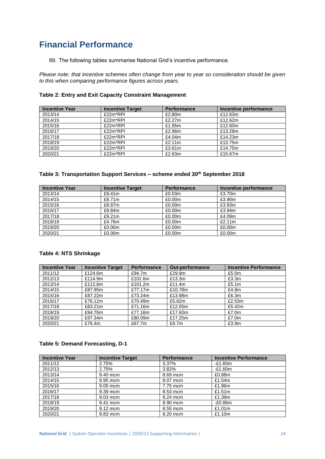## **Financial Performance**

89. The following tables summarise National Grid's incentive performance.

*Please note: that incentive* schemes *often change from year to year so consideration should be given to this when comparing performance figures across years.*

|  | Table 2: Entry and Exit Capacity Constraint Management |  |
|--|--------------------------------------------------------|--|
|--|--------------------------------------------------------|--|

| <b>Incentive Year</b> | <b>Incentive Target</b> | <b>Performance</b> | Incentive performance |
|-----------------------|-------------------------|--------------------|-----------------------|
| 2013/14               | £22m*RPI                | £2.80m             | £12.63m               |
| 2014/15               | £22m*RPI                | £2.27m             | £12.62m               |
| 2015/16               | £22m*RPI                | £1.95m             | £12.60m               |
| 2016/17               | £22m*RPI                | £2.96m             | £13.28m               |
| 2017/18               | £22m*RPI                | £4.04m             | £14.23m               |
| 2018/19               | £22m*RPI                | £2.11m             | £13.75m               |
| 2019/20               | £22m*RPI                | £3.61m             | £14.75m               |
| 2020/21               | £22m*RPI                | £2.63m             | £15.67m               |

#### **Table 3: Transportation Support Services – scheme ended 30th September 2018**

| <b>Incentive Year</b> | <b>Incentive Target</b> | <b>Performance</b> | Incentive performance |
|-----------------------|-------------------------|--------------------|-----------------------|
| 2013/14               | £8.41m                  | £0.03m             | £3.70m                |
| 2014/15               | £8.71m                  | £0.00m             | £3.90m                |
| 2015/16               | £8.87m                  | £0.00m             | £3.93m                |
| 2016/17               | £8.84m                  | £0.00m             | £3.94m                |
| 2017/18               | £9.21m                  | £0.00m             | £4.09m                |
| 2018/19               | £4.76m                  | £0.00m             | £2.11m                |
| 2019/20               | £0.00m                  | £0.00m             | £0.00m                |
| 2020/21               | £0.00m                  | £0.00m             | £0.00m                |

#### **Table 4: NTS Shrinkage**

| <b>Incentive Year</b> | <b>Incentive Target</b> | <b>Performance</b> | <b>Out-performance</b> | <b>Incentive Performance</b> |
|-----------------------|-------------------------|--------------------|------------------------|------------------------------|
| 2011/12               | £124.6m                 | £94.7m             | £29.9m                 | £5.0m                        |
| 2012/13               | £114.9m                 | £101.6m            | £13.3m                 | £3.3m                        |
| 2013/14               | £112.6m                 | £101.2 $m$         | £11.4 $m$              | £5.1m                        |
| 2014/15               | £87.95m                 | £77.17m            | £10.78m                | £4.8m                        |
| 2015/16               | £87.22m                 | £73.24m            | £13.98m                | £6.3m                        |
| 2016/17               | £76.12m                 | £70.49m            | £5.62m                 | £2.53m                       |
| 2017/18               | £83.21m                 | £71.16m            | £12.05m                | £5.42m                       |
| 2018/19               | £94.76m                 | £77.16m            | £17.60m                | £7.0m                        |
| 2019/20               | £97.34m                 | £80.09m            | £17.25m                | £7.0m                        |
| 2020/21               | £76.4m                  | £67.7m             | £8.7m                  | £3.9m                        |

#### **Table 5: Demand Forecasting, D-1**

| <b>Incentive Year</b> | <b>Incentive Target</b> | <b>Performance</b> | <b>Incentive Performance</b> |
|-----------------------|-------------------------|--------------------|------------------------------|
| 2011/12               | 2.75%                   | 3.37%              | $-£1.60m$                    |
| 2012/13               | 2.75%                   | 3.82%              | $-E1.60m$                    |
| 2013/14               | 9.40 mcm                | 8.69 mcm           | £0.88m                       |
| 2014/15               | 8.95 mcm                | 8.07 mcm           | £1.54m                       |
| 2015/16               | 9.00 mcm                | 7.75 mcm           | £1.96m                       |
| 2016/17               | 9.39 mcm                | 8.53 mcm           | £1.51 $m$                    |
| 2017/18               | $9.03$ mcm              | 8.24 mcm           | £1.39m                       |
| 2018/19               | 8.41 mcm                | 8.90 mcm           | $-E0.86m$                    |
| 2019/20               | $9.12$ mcm              | 8.55 mcm           | £1.01m                       |
| 2020/21               | 8.83 mcm                | 8.20 mcm           | £1.10m                       |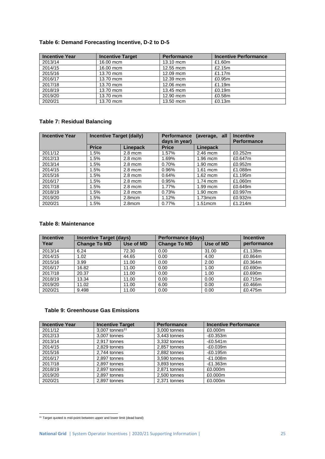#### **Table 6: Demand Forecasting Incentive, D-2 to D-5**

| <b>Incentive Year</b> | <b>Incentive Target</b> | <b>Performance</b> | <b>Incentive Performance</b> |
|-----------------------|-------------------------|--------------------|------------------------------|
| 2013/14               | 16.00 mcm               | 13.10 mcm          | £1.60m                       |
| 2014/15               | 16.00 mcm               | 12.55 mcm          | £2.15m                       |
| 2015/16               | 13.70 mcm               | 12.09 mcm          | £1.17m                       |
| 2016/17               | 13.70 mcm               | 12.39 mcm          | £0.95m                       |
| 2017/18               | 13.70 mcm               | 12.06 mcm          | £1.19m                       |
| 2018/19               | 13.70 mcm               | 13.45 mcm          | £0.19m                       |
| 2019/20               | 13.70 mcm               | 12.90 mcm          | £0.58m                       |
| 2020/21               | 13.70 mcm               | 13.50 mcm          | £0.13m                       |

#### **Table 7: Residual Balancing**

| <b>Incentive Year</b> | <b>Incentive Target (daily)</b> |           | <b>Performance</b><br>days in year) | (average, all | <b>Incentive</b><br><b>Performance</b> |
|-----------------------|---------------------------------|-----------|-------------------------------------|---------------|----------------------------------------|
|                       | <b>Price</b>                    | Linepack  | <b>Price</b>                        | Linepack      |                                        |
| 2011/12               | 1.5%                            | $2.8$ mcm | 1.57%                               | $2.46$ mcm    | £0.252m                                |
| 2012/13               | 1.5%                            | $2.8$ mcm | 1.69%                               | $1.96$ mcm    | £0.647m                                |
| 2013/14               | 1.5%                            | $2.8$ mcm | 0.70%                               | $1.90$ mcm    | £0.952m                                |
| 2014/15               | 1.5%                            | $2.8$ mcm | 0.96%                               | $1.61$ mcm    | £1.088m                                |
| 2015/16               | 1.5%                            | $2.8$ mcm | 0.64%                               | $1.62$ mcm    | £1.195m                                |
| 2016/17               | 1.5%                            | $2.8$ mcm | 0.95%                               | $1.74$ mcm    | £1.060m                                |
| 2017/18               | 1.5%                            | $2.8$ mcm | 1.77%                               | $1.99$ mcm    | £0.649m                                |
| 2018/19               | 1.5%                            | $2.8$ mcm | 0.73%                               | $1.90$ mcm    | £0.997m                                |
| 2019/20               | 1.5%                            | 2.8mcm    | 1.12%                               | $1.73$ mcm    | £0.932m                                |
| 2020/21               | 1.5%                            | 2.8mcm    | 0.77%                               | $1.51$ mcm    | £1.214m                                |

#### **Table 8: Maintenance**

| <b>Incentive</b> | <b>Incentive Target (days)</b> |           | <b>Performance (days)</b> |           | <b>Incentive</b> |
|------------------|--------------------------------|-----------|---------------------------|-----------|------------------|
| Year             | <b>Change To MD</b>            | Use of MD | <b>Change To MD</b>       | Use of MD | performance      |
| 2013/14          | 6.24                           | 72.30     | 0.00                      | 31.00     | £1.138m          |
| 2014/15          | 1.02                           | 44.65     | 0.00                      | 4.00      | £0.864m          |
| 2015/16          | 3.99                           | 11.00     | 0.00                      | 2.00      | £0.364m          |
| 2016/17          | 16.82                          | 11.00     | 0.00                      | 1.00      | £0.690m          |
| 2017/18          | 20.37                          | 11.00     | 0.00                      | 1.00      | £0.690m          |
| 2018/19          | 13.34                          | 11.00     | 0.00                      | 0.00      | £0.715m          |
| 2019/20          | 11.02                          | 11.00     | 6.00                      | 0.00      | £0.466m          |
| 2020/21          | 9.498                          | 11.00     | 0.00                      | 0.00      | £0.475m          |

#### **Table 9: Greenhouse Gas Emissions**

| <b>Incentive Year</b> | <b>Incentive Target</b>      | <b>Performance</b> | <b>Incentive Performance</b> |
|-----------------------|------------------------------|--------------------|------------------------------|
| 2011/12               | $3.007$ tonnes <sup>11</sup> | 3.000 tonnes       | £0.000m                      |
| 2012/13               | 3,007 tonnes                 | 3,443 tonnes       | $-E0.353m$                   |
| 2013/14               | 2.917 tonnes                 | 3.332 tonnes       | $-£0.541m$                   |
| 2014/15               | 2,829 tonnes                 | 2,857 tonnes       | $-£0.039m$                   |
| 2015/16               | 2.744 tonnes                 | 2.882 tonnes       | $-£0.195m$                   |
| 2016/17               | 2,897 tonnes                 | 3,590 tonnes       | $-E1.008m$                   |
| 2017/18               | 2,897 tonnes                 | 3,893 tonnes       | $-E1.363m$                   |
| 2018/19               | 2.897 tonnes                 | 2.871 tonnes       | £0.000m                      |
| 2019/20               | 2.897 tonnes                 | 2.500 tonnes       | £0.000m                      |
| 2020/21               | 2.897 tonnes                 | 2.371 tonnes       | £0.000m                      |

<sup>11</sup> Target quoted is mid-point between upper and lower limit (dead band)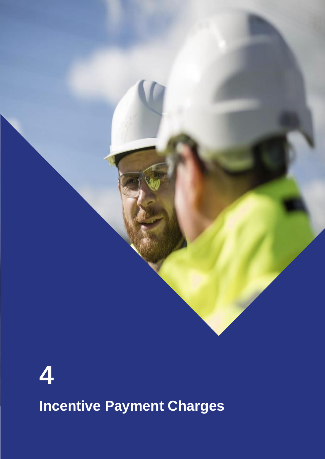

# **4 Incentive Payment Charges**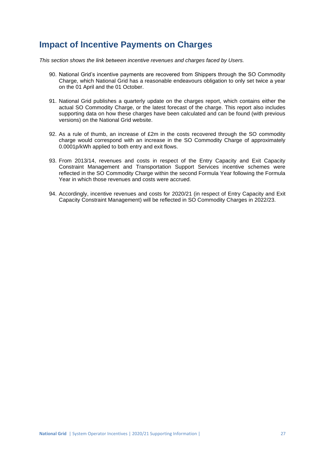## **Impact of Incentive Payments on Charges**

*This section shows the link between incentive revenues and charges faced by Users.*

- 90. National Grid's incentive payments are recovered from Shippers through the SO Commodity Charge, which National Grid has a reasonable endeavours obligation to only set twice a year on the 01 April and the 01 October.
- 91. National Grid publishes a quarterly update on the charges report, which contains either the actual SO Commodity Charge, or the latest forecast of the charge. This report also includes supporting data on how these charges have been calculated and can be found (with previous versions) on the National Grid website.
- 92. As a rule of thumb, an increase of £2m in the costs recovered through the SO commodity charge would correspond with an increase in the SO Commodity Charge of approximately 0.0001p/kWh applied to both entry and exit flows.
- 93. From 2013/14, revenues and costs in respect of the Entry Capacity and Exit Capacity Constraint Management and Transportation Support Services incentive schemes were reflected in the SO Commodity Charge within the second Formula Year following the Formula Year in which those revenues and costs were accrued.
- 94. Accordingly, incentive revenues and costs for 2020/21 (in respect of Entry Capacity and Exit Capacity Constraint Management) will be reflected in SO Commodity Charges in 2022/23.